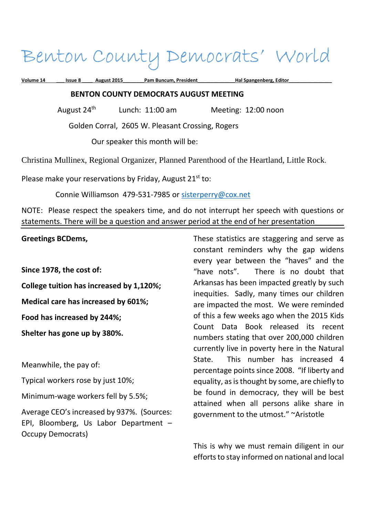# Benton County Democrats' World

**Volume 14 \_\_\_ Issue 8 \_\_\_\_ August 2015\_\_\_\_\_\_\_\_Pam Buncum, President\_\_\_\_\_\_\_\_\_\_\_\_\_\_Hal Spangenberg, Editor\_\_\_\_\_\_\_\_\_\_\_\_\_\_\_\_ BENTON COUNTY DEMOCRATS AUGUST MEETING**  August 24<sup>th</sup> Lunch: 11:00 am Meeting: 12:00 noon Golden Corral, 2605 W. Pleasant Crossing, Rogers Our speaker this month will be:

Christina Mullinex, Regional Organizer, Planned Parenthood of the Heartland, Little Rock.

Please make your reservations by Friday, August  $21<sup>st</sup>$  to:

Connie Williamson 479-531-7985 or sisterperry@cox.net

NOTE: Please respect the speakers time, and do not interrupt her speech with questions or statements. There will be a question and answer period at the end of her presentation

**Greetings BCDems,** 

**Since 1978, the cost of:** 

**College tuition has increased by 1,120%;** 

**Medical care has increased by 601%;** 

**Food has increased by 244%;** 

**Shelter has gone up by 380%.** 

Meanwhile, the pay of:

Typical workers rose by just 10%;

Minimum-wage workers fell by 5.5%;

Average CEO's increased by 937%. (Sources: EPI, Bloomberg, Us Labor Department – Occupy Democrats)

These statistics are staggering and serve as constant reminders why the gap widens every year between the "haves" and the "have nots". There is no doubt that Arkansas has been impacted greatly by such inequities. Sadly, many times our children are impacted the most. We were reminded of this a few weeks ago when the 2015 Kids Count Data Book released its recent numbers stating that over 200,000 children currently live in poverty here in the Natural State. This number has increased 4 percentage points since 2008. "If liberty and equality, as is thought by some, are chiefly to be found in democracy, they will be best attained when all persons alike share in government to the utmost." ~Aristotle

This is why we must remain diligent in our efforts to stay informed on national and local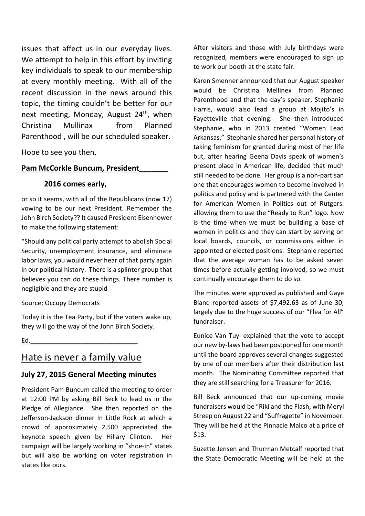issues that affect us in our everyday lives. We attempt to help in this effort by inviting key individuals to speak to our membership at every monthly meeting. With all of the recent discussion in the news around this topic, the timing couldn't be better for our next meeting, Monday, August  $24<sup>th</sup>$ , when Christina Mullinax from Planned Parenthood , will be our scheduled speaker.

Hope to see you then,

#### **Pam McCorkle Buncum, President\_\_\_\_\_\_\_**

#### **2016 comes early,**

or so it seems, with all of the Republicans (now 17) vowing to be our next President. Remember the John Birch Society?? It caused President Eisenhower to make the following statement:

"Should any political party attempt to abolish Social Security, unemployment insurance, and eliminate labor laws, you would never hear of that party again in our political history. There is a splinter group that believes you can do these things. There number is negligible and they are stupid

Source: Occupy Democrats

Today it is the Tea Party, but if the voters wake up, they will go the way of the John Birch Society.

 $Ed.$ 

# Hate is never a family value

# **July 27, 2015 General Meeting minutes**

President Pam Buncum called the meeting to order at 12:00 PM by asking Bill Beck to lead us in the Pledge of Allegiance. She then reported on the Jefferson-Jackson dinner In Little Rock at which a crowd of approximately 2,500 appreciated the keynote speech given by Hillary Clinton. Her campaign will be largely working in "shoe-in" states but will also be working on voter registration in states like ours.

After visitors and those with July birthdays were recognized, members were encouraged to sign up to work our booth at the state fair.

Karen Smenner announced that our August speaker would be Christina Mellinex from Planned Parenthood and that the day's speaker, Stephanie Harris, would also lead a group at Mojito's in Fayetteville that evening. She then introduced Stephanie, who in 2013 created "Women Lead Arkansas." Stephanie shared her personal history of taking feminism for granted during most of her life but, after hearing Geena Davis speak of women's present place in American life, decided that much still needed to be done. Her group is a non-partisan one that encourages women to become involved in politics and policy and is partnered with the Center for American Women in Politics out of Rutgers. allowing them to use the "Ready to Run" logo. Now is the time when we must be building a base of women in politics and they can start by serving on local boards, councils, or commissions either in appointed or elected positions. Stephanie reported that the average woman has to be asked seven times before actually getting involved, so we must continually encourage them to do so.

The minutes were approved as published and Gaye Bland reported assets of \$7,492.63 as of June 30, largely due to the huge success of our "Flea for All" fundraiser.

Eunice Van Tuyl explained that the vote to accept our new by-laws had been postponed for one month until the board approves several changes suggested by one of our members after their distribution last month. The Nominating Committee reported that they are still searching for a Treasurer for 2016.

Bill Beck announced that our up-coming movie fundraisers would be "Riki and the Flash, with Meryl Streep on August 22 and "Suffragette" in November. They will be held at the Pinnacle Malco at a price of \$13.

Suzette Jensen and Thurman Metcalf reported that the State Democratic Meeting will be held at the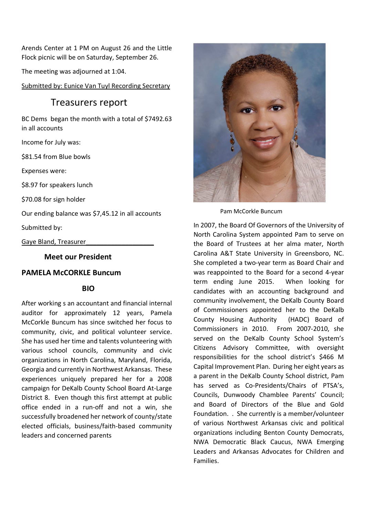Arends Center at 1 PM on August 26 and the Little Flock picnic will be on Saturday, September 26.

The meeting was adjourned at 1:04.

Submitted by: Eunice Van Tuyl Recording Secretary

# Treasurers report

BC Dems began the month with a total of \$7492.63 in all accounts

Income for July was:

\$81.54 from Blue bowls

Expenses were:

\$8.97 for speakers lunch

\$70.08 for sign holder

Our ending balance was \$7,45.12 in all accounts

Submitted by:

Gaye Bland, Treasurer\_\_\_\_\_\_\_\_\_\_\_\_\_\_\_\_\_\_\_

 **Meet our President** 

#### **PAMELA McCORKLE Buncum**

#### **BIO**

After working s an accountant and financial internal auditor for approximately 12 years, Pamela McCorkle Buncum has since switched her focus to community, civic, and political volunteer service. She has used her time and talents volunteering with various school councils, community and civic organizations in North Carolina, Maryland, Florida, Georgia and currently in Northwest Arkansas. These experiences uniquely prepared her for a 2008 campaign for DeKalb County School Board At-Large District 8. Even though this first attempt at public office ended in a run-off and not a win, she successfully broadened her network of county/state elected officials, business/faith-based community leaders and concerned parents



Pam McCorkle Buncum

In 2007, the Board Of Governors of the University of North Carolina System appointed Pam to serve on the Board of Trustees at her alma mater, North Carolina A&T State University in Greensboro, NC. She completed a two-year term as Board Chair and was reappointed to the Board for a second 4-year term ending June 2015. When looking for candidates with an accounting background and community involvement, the DeKalb County Board of Commissioners appointed her to the DeKalb County Housing Authority (HADC) Board of Commissioners in 2010. From 2007-2010, she served on the DeKalb County School System's Citizens Advisory Committee, with oversight responsibilities for the school district's \$466 M Capital Improvement Plan. During her eight years as a parent in the DeKalb County School district, Pam has served as Co-Presidents/Chairs of PTSA's, Councils, Dunwoody Chamblee Parents' Council; and Board of Directors of the Blue and Gold Foundation. . She currently is a member/volunteer of various Northwest Arkansas civic and political organizations including Benton County Democrats, NWA Democratic Black Caucus, NWA Emerging Leaders and Arkansas Advocates for Children and Families.